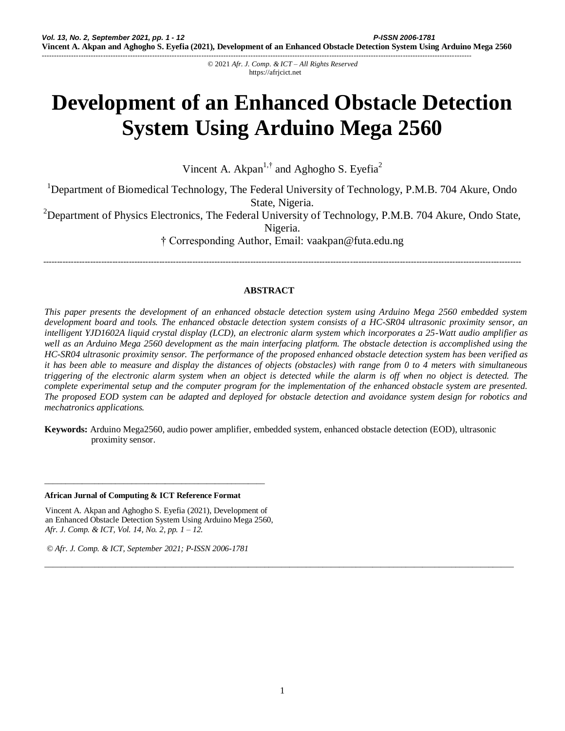© 2021 *Afr. J. Comp. & ICT – All Rights Reserved*  https://afrjcict.net

-------------------------------------------------------------------------------------------------------------------------------------------------------------------------------

# **Development of an Enhanced Obstacle Detection System Using Arduino Mega 2560**

Vincent A. Akpan<sup>1,†</sup> and Aghogho S. Eyefia<sup>2</sup>

<sup>1</sup>Department of Biomedical Technology, The Federal University of Technology, P.M.B. 704 Akure, Ondo State, Nigeria.

<sup>2</sup>Department of Physics Electronics, The Federal University of Technology, P.M.B. 704 Akure, Ondo State,

Nigeria.

† Corresponding Author, Email: vaakpan@futa.edu.ng

-----------------------------------------------------------------------------------------------------------------------------------------------------------------------------

# **ABSTRACT**

*This paper presents the development of an enhanced obstacle detection system using Arduino Mega 2560 embedded system development board and tools. The enhanced obstacle detection system consists of a HC-SR04 ultrasonic proximity sensor, an intelligent YJD1602A liquid crystal display (LCD), an electronic alarm system which incorporates a 25-Watt audio amplifier as well as an Arduino Mega 2560 development as the main interfacing platform. The obstacle detection is accomplished using the HC-SR04 ultrasonic proximity sensor. The performance of the proposed enhanced obstacle detection system has been verified as it has been able to measure and display the distances of objects (obstacles) with range from 0 to 4 meters with simultaneous triggering of the electronic alarm system when an object is detected while the alarm is off when no object is detected. The complete experimental setup and the computer program for the implementation of the enhanced obstacle system are presented. The proposed EOD system can be adapted and deployed for obstacle detection and avoidance system design for robotics and mechatronics applications.*

**Keywords:** Arduino Mega2560, audio power amplifier, embedded system, enhanced obstacle detection (EOD), ultrasonic proximity sensor.

#### **African Jurnal of Computing & ICT Reference Format**

Vincent A. Akpan and Aghogho S. Eyefia (2021), Development of an Enhanced Obstacle Detection System Using Arduino Mega 2560, *Afr. J. Comp. & ICT, Vol. 14, No. 2, pp. 1 – 12.*

\_\_\_\_\_\_\_\_\_\_\_\_\_\_\_\_\_\_\_\_\_\_\_\_\_\_\_\_\_\_\_\_\_\_\_\_\_\_\_\_\_\_\_\_\_\_\_\_\_\_\_\_\_

*© Afr. J. Comp. & ICT, September 2021; P-ISSN 2006-1781*

*\_\_\_\_\_\_\_\_\_\_\_\_\_\_\_\_\_\_\_\_\_\_\_\_\_\_\_\_\_\_\_\_\_\_\_\_\_\_\_\_\_\_\_\_\_\_\_\_\_\_\_\_\_\_\_\_\_\_\_\_\_\_\_\_\_\_\_\_\_\_\_\_\_\_\_\_\_\_\_\_\_\_\_\_\_\_\_\_\_\_\_\_\_\_\_\_\_\_\_\_\_\_\_\_\_\_\_\_\_\_\_\_\_*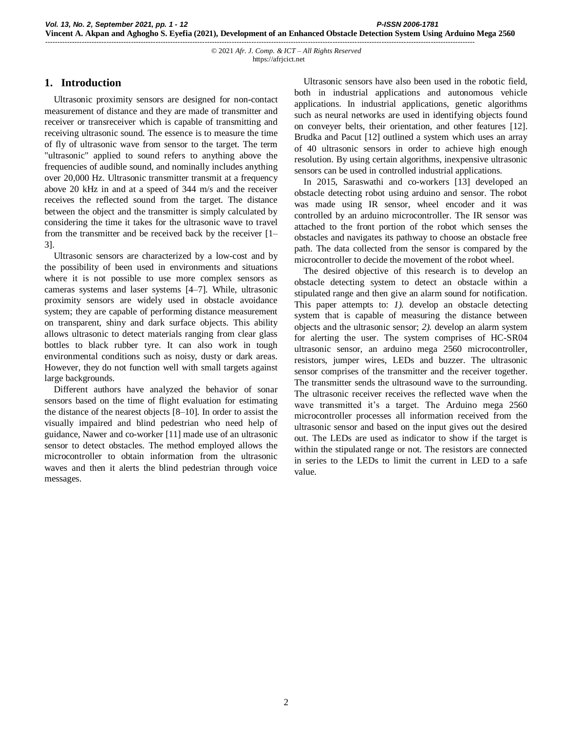# **1. Introduction**

Ultrasonic proximity sensors are designed for non-contact measurement of distance and they are made of transmitter and receiver or transreceiver which is capable of transmitting and receiving ultrasonic sound. The essence is to measure the time of fly of ultrasonic wave from sensor to the target. The term "ultrasonic" applied to sound refers to anything above the frequencies of audible sound, and nominally includes anything over 20,000 Hz. Ultrasonic transmitter transmit at a frequency above 20 kHz in and at a speed of 344 m/s and the receiver receives the reflected sound from the target. The distance between the object and the transmitter is simply calculated by considering the time it takes for the ultrasonic wave to travel from the transmitter and be received back by the receiver [1– 3].

Ultrasonic sensors are characterized by a low-cost and by the possibility of been used in environments and situations where it is not possible to use more complex sensors as cameras systems and laser systems [4–7]. While, ultrasonic proximity sensors are widely used in obstacle avoidance system; they are capable of performing distance measurement on transparent, shiny and dark surface objects. This ability allows ultrasonic to detect materials ranging from clear glass bottles to black rubber tyre. It can also work in tough environmental conditions such as noisy, dusty or dark areas. However, they do not function well with small targets against large backgrounds.

Different authors have analyzed the behavior of sonar sensors based on the time of flight evaluation for estimating the distance of the nearest objects [8–10]. In order to assist the visually impaired and blind pedestrian who need help of guidance, Nawer and co-worker [11] made use of an ultrasonic sensor to detect obstacles. The method employed allows the microcontroller to obtain information from the ultrasonic waves and then it alerts the blind pedestrian through voice messages.

Ultrasonic sensors have also been used in the robotic field, both in industrial applications and autonomous vehicle applications. In industrial applications, genetic algorithms such as neural networks are used in identifying objects found on conveyer belts, their orientation, and other features [12]. Brudka and Pacut [12] outlined a system which uses an array of 40 ultrasonic sensors in order to achieve high enough resolution. By using certain algorithms, inexpensive ultrasonic sensors can be used in controlled industrial applications.

In 2015, Saraswathi and co-workers [13] developed an obstacle detecting robot using arduino and sensor. The robot was made using IR sensor, wheel encoder and it was controlled by an arduino microcontroller. The IR sensor was attached to the front portion of the robot which senses the obstacles and navigates its pathway to choose an obstacle free path. The data collected from the sensor is compared by the microcontroller to decide the movement of the robot wheel.

The desired objective of this research is to develop an obstacle detecting system to detect an obstacle within a stipulated range and then give an alarm sound for notification. This paper attempts to: *1).* develop an obstacle detecting system that is capable of measuring the distance between objects and the ultrasonic sensor; *2).* develop an alarm system for alerting the user. The system comprises of HC-SR04 ultrasonic sensor, an arduino mega 2560 microcontroller, resistors, jumper wires, LEDs and buzzer. The ultrasonic sensor comprises of the transmitter and the receiver together. The transmitter sends the ultrasound wave to the surrounding. The ultrasonic receiver receives the reflected wave when the wave transmitted it's a target. The Arduino mega 2560 microcontroller processes all information received from the ultrasonic sensor and based on the input gives out the desired out. The LEDs are used as indicator to show if the target is within the stipulated range or not. The resistors are connected in series to the LEDs to limit the current in LED to a safe value.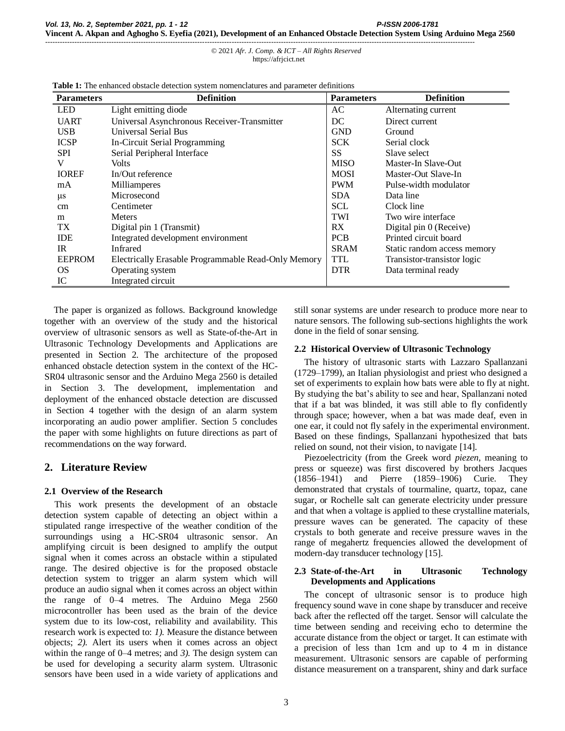| <b>Parameters</b> | <b>Definition</b>                                   | <b>Parameters</b> | <b>Definition</b>           |
|-------------------|-----------------------------------------------------|-------------------|-----------------------------|
| <b>LED</b>        | Light emitting diode                                | AC                | Alternating current         |
| <b>UART</b>       | Universal Asynchronous Receiver-Transmitter         | DC                | Direct current              |
| <b>USB</b>        | <b>Universal Serial Bus</b>                         | <b>GND</b>        | Ground                      |
| <b>ICSP</b>       | In-Circuit Serial Programming                       | <b>SCK</b>        | Serial clock                |
| <b>SPI</b>        | Serial Peripheral Interface                         | <b>SS</b>         | Slave select                |
| V                 | <b>Volts</b>                                        | <b>MISO</b>       | Master-In Slave-Out         |
| <b>IOREF</b>      | In/Out reference                                    | <b>MOSI</b>       | Master-Out Slave-In         |
| mA                | Milliamperes                                        | <b>PWM</b>        | Pulse-width modulator       |
| $\mu$ s           | Microsecond                                         | <b>SDA</b>        | Data line                   |
| cm                | Centimeter                                          | <b>SCL</b>        | Clock line                  |
| m                 | <b>Meters</b>                                       | TWI               | Two wire interface          |
| TX                | Digital pin 1 (Transmit)                            | RX                | Digital pin 0 (Receive)     |
| <b>IDE</b>        | Integrated development environment                  | <b>PCB</b>        | Printed circuit board       |
| IR                | <b>Infrared</b>                                     | <b>SRAM</b>       | Static random access memory |
| <b>EEPROM</b>     | Electrically Erasable Programmable Read-Only Memory | TTL               | Transistor-transistor logic |
| OS.               | Operating system                                    | <b>DTR</b>        | Data terminal ready         |
| IC                | Integrated circuit                                  |                   |                             |

**Table 1:** The enhanced obstacle detection system nomenclatures and parameter definitions

The paper is organized as follows. Background knowledge together with an overview of the study and the historical overview of ultrasonic sensors as well as State-of-the-Art in Ultrasonic Technology Developments and Applications are presented in Section 2. The architecture of the proposed enhanced obstacle detection system in the context of the HC-SR04 ultrasonic sensor and the Arduino Mega 2560 is detailed in Section 3. The development, implementation and deployment of the enhanced obstacle detection are discussed in Section 4 together with the design of an alarm system incorporating an audio power amplifier. Section 5 concludes the paper with some highlights on future directions as part of recommendations on the way forward.

# **2. Literature Review**

# **2.1 Overview of the Research**

This work presents the development of an obstacle detection system capable of detecting an object within a stipulated range irrespective of the weather condition of the surroundings using a HC-SR04 ultrasonic sensor. An amplifying circuit is been designed to amplify the output signal when it comes across an obstacle within a stipulated range. The desired objective is for the proposed obstacle detection system to trigger an alarm system which will produce an audio signal when it comes across an object within the range of 0–4 metres. The Arduino Mega 2560 microcontroller has been used as the brain of the device system due to its low-cost, reliability and availability. This research work is expected to: *1).* Measure the distance between objects; *2).* Alert its users when it comes across an object within the range of 0–4 metres; and *3).* The design system can be used for developing a security alarm system. Ultrasonic sensors have been used in a wide variety of applications and still sonar systems are under research to produce more near to nature sensors. The following sub-sections highlights the work done in the field of sonar sensing.

## **2.2 Historical Overview of Ultrasonic Technology**

The history of ultrasonic starts with Lazzaro Spallanzani (1729–1799), an Italian physiologist and priest who designed a set of experiments to explain how bats were able to fly at night. By studying the bat's ability to see and hear, Spallanzani noted that if a bat was blinded, it was still able to fly confidently through space; however, when a bat was made deaf, even in one ear, it could not fly safely in the experimental environment. Based on these findings, Spallanzani hypothesized that bats relied on sound, not their vision, to navigate [14].

Piezoelectricity (from the Greek word *piezen*, meaning to press or squeeze) was first discovered by brothers Jacques (1856–1941) and Pierre (1859–1906) Curie. They demonstrated that crystals of tourmaline, quartz, topaz, cane sugar, or Rochelle salt can generate electricity under pressure and that when a voltage is applied to these crystalline materials, pressure waves can be generated. The capacity of these crystals to both generate and receive pressure waves in the range of megahertz frequencies allowed the development of modern-day transducer technology [15].

## **2.3 State-of-the-Art in Ultrasonic Technology Developments and Applications**

The concept of ultrasonic sensor is to produce high frequency sound wave in cone shape by transducer and receive back after the reflected off the target. Sensor will calculate the time between sending and receiving echo to determine the accurate distance from the object or target. It can estimate with a precision of less than 1cm and up to 4 m in distance measurement. Ultrasonic sensors are capable of performing distance measurement on a transparent, shiny and dark surface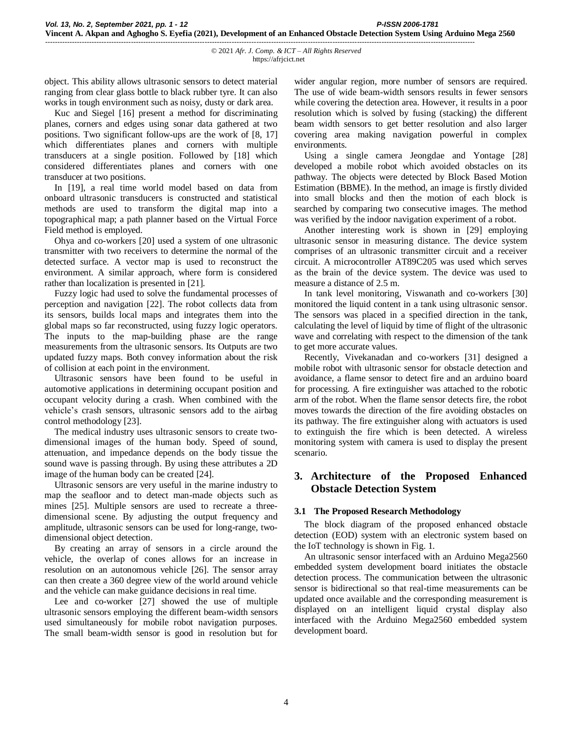object. This ability allows ultrasonic sensors to detect material ranging from clear glass bottle to black rubber tyre. It can also works in tough environment such as noisy, dusty or dark area.

Kuc and Siegel [16] present a method for discriminating planes, corners and edges using sonar data gathered at two positions. Two significant follow-ups are the work of [8, 17] which differentiates planes and corners with multiple transducers at a single position. Followed by [18] which considered differentiates planes and corners with one transducer at two positions.

In [19], a real time world model based on data from onboard ultrasonic transducers is constructed and statistical methods are used to transform the digital map into a topographical map; a path planner based on the Virtual Force Field method is employed.

Ohya and co-workers [20] used a system of one ultrasonic transmitter with two receivers to determine the normal of the detected surface. A vector map is used to reconstruct the environment. A similar approach, where form is considered rather than localization is presented in [21].

Fuzzy logic had used to solve the fundamental processes of perception and navigation [22]. The robot collects data from its sensors, builds local maps and integrates them into the global maps so far reconstructed, using fuzzy logic operators. The inputs to the map-building phase are the range measurements from the ultrasonic sensors. Its Outputs are two updated fuzzy maps. Both convey information about the risk of collision at each point in the environment.

Ultrasonic sensors have been found to be useful in automotive applications in determining occupant position and occupant velocity during a crash. When combined with the vehicle's crash sensors, ultrasonic sensors add to the airbag control methodology [23].

The medical industry uses ultrasonic sensors to create twodimensional images of the human body. Speed of sound, attenuation, and impedance depends on the body tissue the sound wave is passing through. By using these attributes a 2D image of the human body can be created [24].

Ultrasonic sensors are very useful in the marine industry to map the seafloor and to detect man-made objects such as mines [25]. Multiple sensors are used to recreate a threedimensional scene. By adjusting the output frequency and amplitude, ultrasonic sensors can be used for long-range, twodimensional object detection.

By creating an array of sensors in a circle around the vehicle, the overlap of cones allows for an increase in resolution on an autonomous vehicle [26]. The sensor array can then create a 360 degree view of the world around vehicle and the vehicle can make guidance decisions in real time.

Lee and co-worker [27] showed the use of multiple ultrasonic sensors employing the different beam-width sensors used simultaneously for mobile robot navigation purposes. The small beam-width sensor is good in resolution but for wider angular region, more number of sensors are required. The use of wide beam-width sensors results in fewer sensors while covering the detection area. However, it results in a poor resolution which is solved by fusing (stacking) the different beam width sensors to get better resolution and also larger covering area making navigation powerful in complex environments.

Using a single camera Jeongdae and Yontage [28] developed a mobile robot which avoided obstacles on its pathway. The objects were detected by Block Based Motion Estimation (BBME). In the method, an image is firstly divided into small blocks and then the motion of each block is searched by comparing two consecutive images. The method was verified by the indoor navigation experiment of a robot.

Another interesting work is shown in [29] employing ultrasonic sensor in measuring distance. The device system comprises of an ultrasonic transmitter circuit and a receiver circuit. A microcontroller AT89C205 was used which serves as the brain of the device system. The device was used to measure a distance of 2.5 m.

In tank level monitoring, Viswanath and co-workers [30] monitored the liquid content in a tank using ultrasonic sensor. The sensors was placed in a specified direction in the tank, calculating the level of liquid by time of flight of the ultrasonic wave and correlating with respect to the dimension of the tank to get more accurate values.

Recently, Vivekanadan and co-workers [31] designed a mobile robot with ultrasonic sensor for obstacle detection and avoidance, a flame sensor to detect fire and an arduino board for processing. A fire extinguisher was attached to the robotic arm of the robot. When the flame sensor detects fire, the robot moves towards the direction of the fire avoiding obstacles on its pathway. The fire extinguisher along with actuators is used to extinguish the fire which is been detected. A wireless monitoring system with camera is used to display the present scenario.

# **3. Architecture of the Proposed Enhanced Obstacle Detection System**

# **3.1 The Proposed Research Methodology**

The block diagram of the proposed enhanced obstacle detection (EOD) system with an electronic system based on the IoT technology is shown in Fig. 1.

An ultrasonic sensor interfaced with an Arduino Mega2560 embedded system development board initiates the obstacle detection process. The communication between the ultrasonic sensor is bidirectional so that real-time measurements can be updated once available and the corresponding measurement is displayed on an intelligent liquid crystal display also interfaced with the Arduino Mega2560 embedded system development board.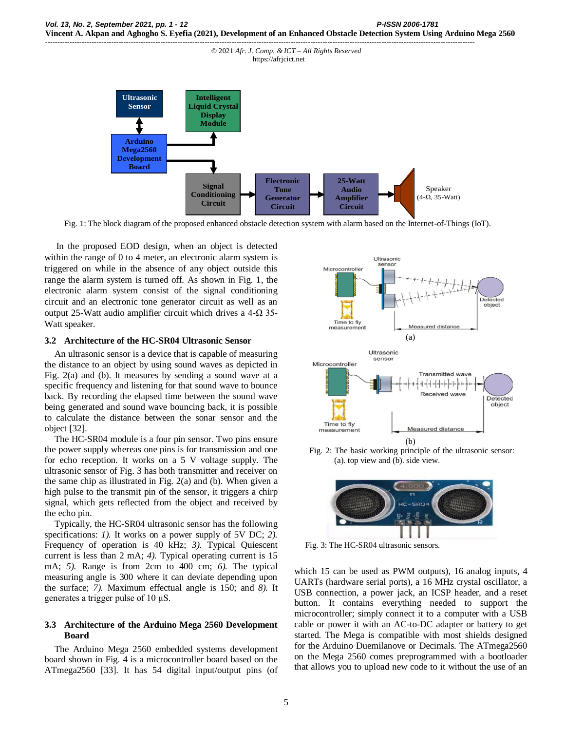

Fig. 1: The block diagram of the proposed enhanced obstacle detection system with alarm based on the Internet-of-Things (IoT).

In the proposed EOD design, when an object is detected within the range of 0 to 4 meter, an electronic alarm system is triggered on while in the absence of any object outside this range the alarm system is turned off. As shown in Fig. 1, the electronic alarm system consist of the signal conditioning circuit and an electronic tone generator circuit as well as an output 25-Watt audio amplifier circuit which drives a 4- $\Omega$  35-Watt speaker.

#### **3.2 Architecture of the HC-SR04 Ultrasonic Sensor**

An ultrasonic sensor is a device that is capable of measuring the distance to an object by using sound waves as depicted in Fig. 2(a) and (b). It measures by sending a sound wave at a specific frequency and listening for that sound wave to bounce back. By recording the elapsed time between the sound wave being generated and sound wave bouncing back, it is possible to calculate the distance between the sonar sensor and the object [32].

The HC-SR04 module is a four pin sensor. Two pins ensure the power supply whereas one pins is for transmission and one for echo reception. It works on a 5 V voltage supply. The ultrasonic sensor of Fig. 3 has both transmitter and receiver on the same chip as illustrated in Fig. 2(a) and (b). When given a high pulse to the transmit pin of the sensor, it triggers a chirp signal, which gets reflected from the object and received by the echo pin.

Typically, the HC-SR04 ultrasonic sensor has the following specifications: *1).* It works on a power supply of 5V DC; *2).* Frequency of operation is 40 kHz; *3).* Typical Quiescent current is less than 2 mA; *4).* Typical operating current is 15 mA; *5).* Range is from 2cm to 400 cm; *6).* The typical measuring angle is 300 where it can deviate depending upon the surface; *7).* Maximum effectual angle is 150; and *8).* It generates a trigger pulse of 10 μS.

## **3.3 Architecture of the Arduino Mega 2560 Development Board**

The Arduino Mega 2560 embedded systems development board shown in Fig. 4 is a microcontroller board based on the ATmega2560 [33]. It has 54 digital input/output pins (of



Fig. 2: The basic working principle of the ultrasonic sensor: (a). top view and (b). side view.



Fig. 3: The HC-SR04 ultrasonic sensors.

which 15 can be used as PWM outputs), 16 analog inputs, 4 UARTs (hardware serial ports), a 16 MHz crystal oscillator, a USB connection, a power jack, an ICSP header, and a reset button. It contains everything needed to support the microcontroller; simply connect it to a computer with a USB cable or power it with an AC-to-DC adapter or battery to get started. The Mega is compatible with most shields designed for the Arduino Duemilanove or Decimals. The ATmega2560 on the Mega 2560 comes preprogrammed with a bootloader that allows you to upload new code to it without the use of an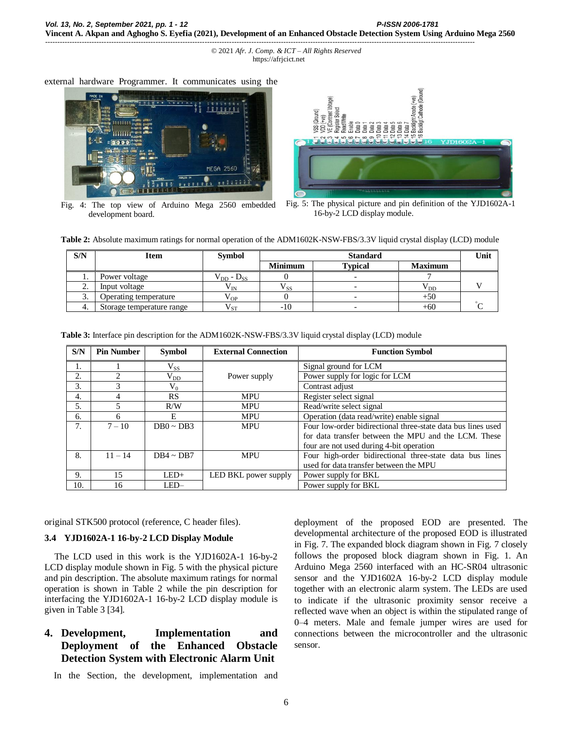external hardware Programmer. It communicates using the



Fig. 4: The top view of Arduino Mega 2560 embedded development board.



Fig. 5: The physical picture and pin definition of the YJD1602A-1 16-by-2 LCD display module.

| Table 2: Absolute maximum ratings for normal operation of the ADM1602K-NSW-FBS/3.3V liquid crystal display (LCD) module |  |  |  |  |  |
|-------------------------------------------------------------------------------------------------------------------------|--|--|--|--|--|
|-------------------------------------------------------------------------------------------------------------------------|--|--|--|--|--|

| S/N      | <b>Item</b>                  | <b>Symbol</b>                                           | <b>Standard</b>    |                |                | Unit |
|----------|------------------------------|---------------------------------------------------------|--------------------|----------------|----------------|------|
|          |                              |                                                         | <b>Minimum</b>     | <b>Typical</b> | <b>Maximum</b> |      |
|          | Power voltage                | $\mathsf{V}_{\mathrm{DD}}$ - $\mathrm{D}_{\mathrm{SS}}$ |                    |                |                |      |
| <u>.</u> | Input voltage                | $\rm V_{IN}$                                            | ${\rm V}_{\rm SS}$ |                | $V_{DD}$       |      |
| J.       | <b>Deerating temperature</b> | $\rm V_{OP}$                                            |                    |                | +50            |      |
|          | Storage temperature range    | $V_{ST}$                                                | -10                |                | +60            |      |

| S/N | <b>Pin Number</b> | <b>Symbol</b>  | <b>External Connection</b> | <b>Function Symbol</b>                                       |
|-----|-------------------|----------------|----------------------------|--------------------------------------------------------------|
| 1.  |                   | $V_{SS}$       |                            | Signal ground for LCM                                        |
| 2.  | ◠                 | $\rm V_{DD}$   | Power supply               | Power supply for logic for LCM                               |
| 3.  |                   | $V_0$          |                            | Contrast adjust                                              |
| 4.  |                   | RS             | <b>MPU</b>                 | Register select signal                                       |
| 5.  |                   | R/W            | <b>MPU</b>                 | Read/write select signal                                     |
| 6.  | 6                 | E              | <b>MPU</b>                 | Operation (data read/write) enable signal                    |
| 7.  | $7 - 10$          | $DB0 \sim DB3$ | <b>MPU</b>                 | Four low-order bidirectional three-state data bus lines used |
|     |                   |                |                            | for data transfer between the MPU and the LCM. These         |
|     |                   |                |                            | four are not used during 4-bit operation                     |
| 8.  | $11 - 14$         | $DB4 \sim DB7$ | <b>MPU</b>                 | Four high-order bidirectional three-state data bus lines     |
|     |                   |                |                            | used for data transfer between the MPU                       |
| 9.  | 15                | $LED+$         | LED BKL power supply       | Power supply for BKL                                         |
| 10. | 16                | LED-           |                            | Power supply for BKL                                         |

**Table 3:** Interface pin description for the ADM1602K-NSW-FBS/3.3V liquid crystal display (LCD) module

original STK500 protocol (reference, C header files).

## **3.4 YJD1602A-1 16-by-2 LCD Display Module**

The LCD used in this work is the YJD1602A-1 16-by-2 LCD display module shown in Fig. 5 with the physical picture and pin description. The absolute maximum ratings for normal operation is shown in Table 2 while the pin description for interfacing the YJD1602A-1 16-by-2 LCD display module is given in Table 3 [34].

# **4. Development, Implementation and Deployment of the Enhanced Obstacle Detection System with Electronic Alarm Unit**

In the Section, the development, implementation and

deployment of the proposed EOD are presented. The developmental architecture of the proposed EOD is illustrated in Fig. 7. The expanded block diagram shown in Fig. 7 closely follows the proposed block diagram shown in Fig. 1. An Arduino Mega 2560 interfaced with an HC-SR04 ultrasonic sensor and the YJD1602A 16-by-2 LCD display module together with an electronic alarm system. The LEDs are used to indicate if the ultrasonic proximity sensor receive a reflected wave when an object is within the stipulated range of 0–4 meters. Male and female jumper wires are used for connections between the microcontroller and the ultrasonic sensor.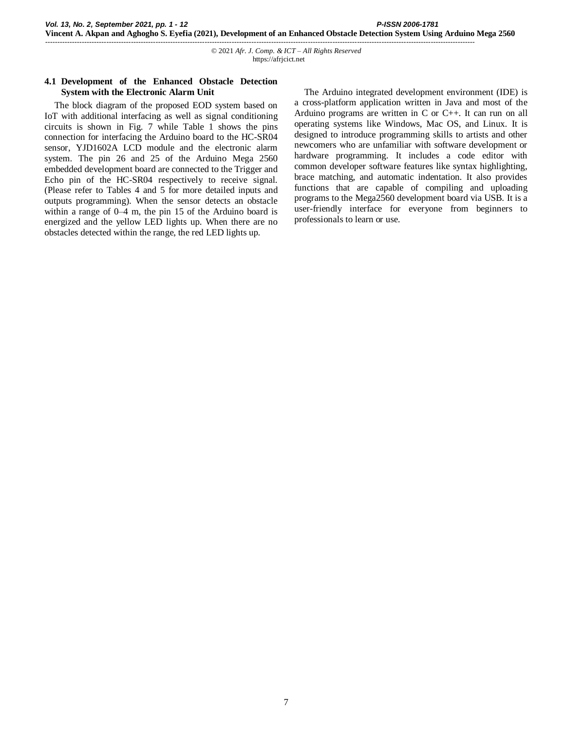## **4.1 Development of the Enhanced Obstacle Detection System with the Electronic Alarm Unit**

The block diagram of the proposed EOD system based on IoT with additional interfacing as well as signal conditioning circuits is shown in Fig. 7 while Table 1 shows the pins connection for interfacing the Arduino board to the HC-SR04 sensor, YJD1602A LCD module and the electronic alarm system. The pin 26 and 25 of the Arduino Mega 2560 embedded development board are connected to the Trigger and Echo pin of the HC-SR04 respectively to receive signal. (Please refer to Tables 4 and 5 for more detailed inputs and outputs programming). When the sensor detects an obstacle within a range of  $0-4$  m, the pin 15 of the Arduino board is energized and the yellow LED lights up. When there are no obstacles detected within the range, the red LED lights up.

The Arduino integrated development environment (IDE) is a cross-platform application written in Java and most of the Arduino programs are written in C or C++. It can run on all operating systems like Windows, Mac OS, and Linux. It is designed to introduce programming skills to artists and other newcomers who are unfamiliar with software development or hardware programming. It includes a code editor with common developer software features like syntax highlighting, brace matching, and automatic indentation. It also provides functions that are capable of compiling and uploading programs to the Mega2560 development board via USB. It is a user-friendly interface for everyone from beginners to professionals to learn or use.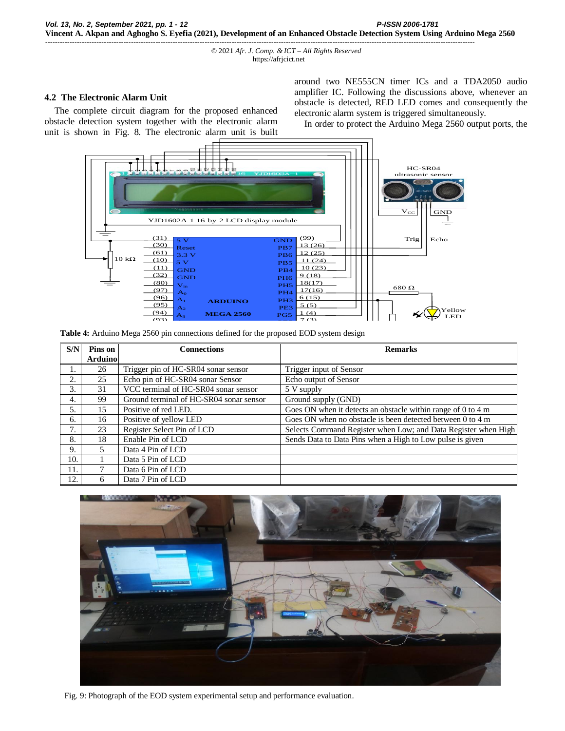### **4.2 The Electronic Alarm Unit**

The complete circuit diagram for the proposed enhanced obstacle detection system together with the electronic alarm unit is shown in Fig. 8. The electronic alarm unit is built around two NE555CN timer ICs and a TDA2050 audio amplifier IC. Following the discussions above, whenever an obstacle is detected, RED LED comes and consequently the electronic alarm system is triggered simultaneously.

In order to protect the Arduino Mega 2560 output ports, the



but defined  $\sim$ onnections defined for the propose pose  $\overline{a}$ EOD  $\frac{1}{2}$ Table 4: Arduino Mega 2560 pin connections defined for the proposed EOD system design

| S/N | Pins on<br><b>Arduino</b> | <b>Connections</b>                      | <b>Remarks</b>                                                         |
|-----|---------------------------|-----------------------------------------|------------------------------------------------------------------------|
| I.  | 26                        | Trigger pin of HC-SR04 sonar sensor     | Trigger input of Sensor                                                |
| 2.  | 25                        | Echo pin of HC-SR04 sonar Sensor        | Echo output of Sensor                                                  |
| 3.  | 31                        | VCC terminal of HC-SR04 sonar sensor    | $\overline{5}$ V supply                                                |
| 4.  | 99                        | Ground terminal of HC-SR04 sonar sensor | Ground supply (GND)                                                    |
| 5.  | 15                        | Positive of red LED.                    | Goes ON when it detects an obstacle within range of 0 to 4 m           |
| 6.  | 16                        | Positive of yellow LED                  | Goes ON when no obstacle is been detected between $0$ to $4 \text{ m}$ |
| 7.  | 23                        | Register Select Pin of LCD              | Selects Command Register when Low; and Data Register when High         |
| 8.  | 18                        | Enable Pin of LCD                       | Sends Data to Data Pins when a High to Low pulse is given              |
| 9.  | 5.                        | Data 4 Pin of LCD                       |                                                                        |
| 10. |                           | Data 5 Pin of LCD                       |                                                                        |
| 11. |                           | Data 6 Pin of LCD                       |                                                                        |
| 12. | 6                         | Data 7 Pin of LCD                       |                                                                        |



Fig. 9: Photograph of the EOD system experimental setup and performance evaluation.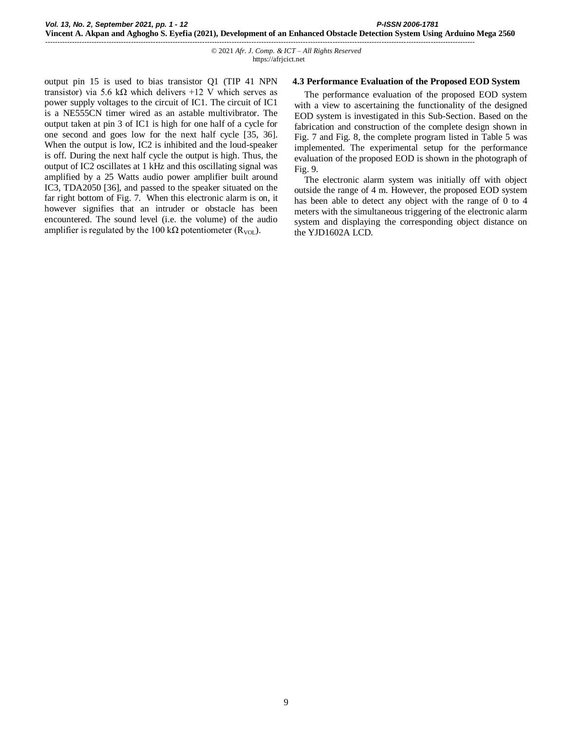output pin 15 is used to bias transistor Q1 (TIP 41 NPN transistor) via 5.6 kΩ which delivers +12 V which serves as power supply voltages to the circuit of IC1. The circuit of IC1 is a NE555CN timer wired as an astable multivibrator. The output taken at pin 3 of IC1 is high for one half of a cycle for one second and goes low for the next half cycle [35, 36]. When the output is low, IC2 is inhibited and the loud-speaker is off. During the next half cycle the output is high. Thus, the output of IC2 oscillates at 1 kHz and this oscillating signal was amplified by a 25 Watts audio power amplifier built around IC3, TDA2050 [36], and passed to the speaker situated on the far right bottom of Fig. 7. When this electronic alarm is on, it however signifies that an intruder or obstacle has been encountered. The sound level (i.e. the volume) of the audio amplifier is regulated by the 100 kΩ potentiometer ( $R_{VOL}$ ).

#### **4.3 Performance Evaluation of the Proposed EOD System**

The performance evaluation of the proposed EOD system with a view to ascertaining the functionality of the designed EOD system is investigated in this Sub-Section. Based on the fabrication and construction of the complete design shown in Fig. 7 and Fig. 8, the complete program listed in Table 5 was implemented. The experimental setup for the performance evaluation of the proposed EOD is shown in the photograph of Fig. 9.

The electronic alarm system was initially off with object outside the range of 4 m. However, the proposed EOD system has been able to detect any object with the range of 0 to 4 meters with the simultaneous triggering of the electronic alarm system and displaying the corresponding object distance on the YJD1602A LCD.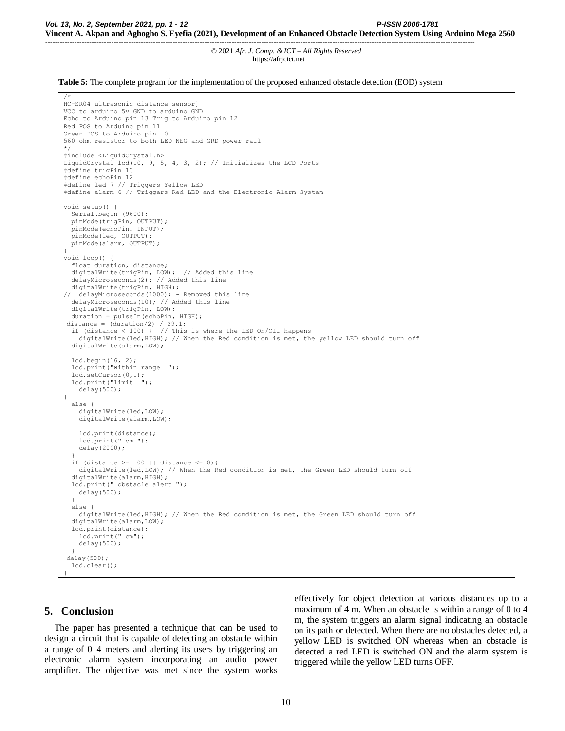**Table 5:** The complete program for the implementation of the proposed enhanced obstacle detection (EOD) system

```
/*
HC-SR04 ultrasonic distance sensor]
VCC to arduino 5v GND to arduino GND
Echo to Arduino pin 13 Trig to Arduino pin 12
Red POS to Arduino pin 11
Green POS to Arduino pin 10
560 ohm resistor to both LED NEG and GRD power rail
*/
#include <LiquidCrystal.h>
LiquidCrystal lcd(10, 9, 5, 4, 3, 2); // Initializes the LCD Ports
#define trigPin 13
#define echoPin 12
#define led 7 // Triggers Yellow LED
#define alarm 6 // Triggers Red LED and the Electronic Alarm System
void setup() {
   Serial.begin (9600);
   pinMode(trigPin, OUTPUT);
   pinMode(echoPin, INPUT);
   pinMode(led, OUTPUT);
   pinMode(alarm, OUTPUT);
}
void loop() {
   float duration, distance;
   digitalWrite(trigPin, LOW); // Added this line
   delayMicroseconds(2); // Added this line
   digitalWrite(trigPin, HIGH);
   delayMicrosoft(1000); - Removed this line
   delayMicroseconds(10); // Added this line
   digitalWrite(trigPin, LOW);
   duration = pulseIn(echoPin, HIGH);
 distance = (duration/2) / 29.1;<br>if (distance < 100) { // This
                          // This is where the LED On/Off happens
     digitalWrite(led,HIGH); // When the Red condition is met, the yellow LED should turn off
   digitalWrite(alarm,LOW);
   lcd.begin(16, 2);
   lcd.print("within range ");
   lcd.setCursor(0,1);
   lcd.print("limit ");
     delay(500);
}
   else {
     digitalWrite(led,LOW);
    digitalWrite(alarm, LOW);
     lcd.print(distance);
     lcd.print(" cm ");
     delay(2000);
 }
   if (distance >= 100 || distance <= 0){
     digitalWrite(led,LOW); // When the Red condition is met, the Green LED should turn off
  digitalWrite(alarm, HIGH);
   lcd.print(" obstacle alert ");
    delay(500);
 }
   else {
    digitalWrite(led,HIGH); // When the Red condition is met, the Green LED should turn off
  digitalWrite(alarm, LOW);
   lcd.print(distance);
     lcd.print(" cm");
    delay(500); 
 }
  delay(500);
   lcd.clear();
```
# **5. Conclusion**

}

The paper has presented a technique that can be used to design a circuit that is capable of detecting an obstacle within a range of 0–4 meters and alerting its users by triggering an electronic alarm system incorporating an audio power amplifier. The objective was met since the system works effectively for object detection at various distances up to a maximum of 4 m. When an obstacle is within a range of 0 to 4 m, the system triggers an alarm signal indicating an obstacle on its path or detected. When there are no obstacles detected, a yellow LED is switched ON whereas when an obstacle is detected a red LED is switched ON and the alarm system is triggered while the yellow LED turns OFF.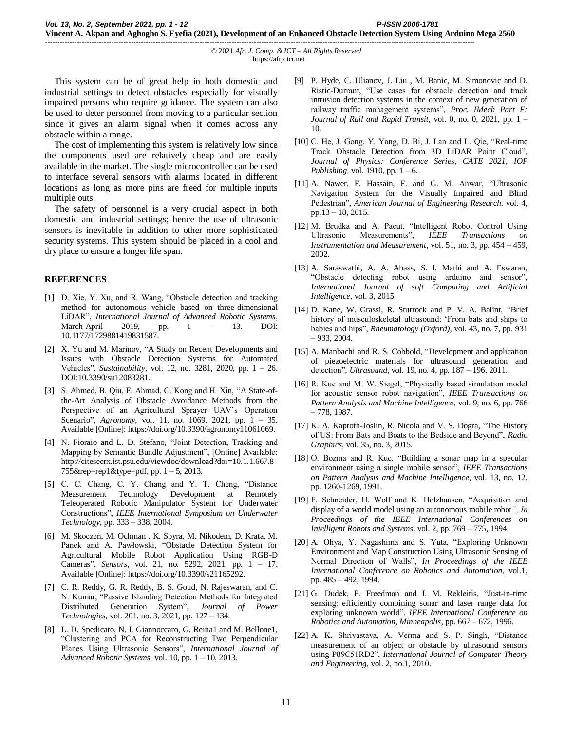© 2021 *Afr. J. Comp. & ICT – All Rights Reserved*  https://afrjcict.net

This system can be of great help in both domestic and industrial settings to detect obstacles especially for visually impaired persons who require guidance. The system can also be used to deter personnel from moving to a particular section since it gives an alarm signal when it comes across any obstacle within a range.

-------------------------------------------------------------------------------------------------------------------------------------------------------------------------------

The cost of implementing this system is relatively low since the components used are relatively cheap and are easily available in the market. The single microcontroller can be used to interface several sensors with alarms located in different locations as long as more pins are freed for multiple inputs multiple outs.

The safety of personnel is a very crucial aspect in both domestic and industrial settings; hence the use of ultrasonic sensors is inevitable in addition to other more sophisticated security systems. This system should be placed in a cool and dry place to ensure a longer life span.

#### **REFERENCES**

- [1] D. Xie, Y. Xu, and R. Wang, "Obstacle detection and tracking method for autonomous vehicle based on three-dimensional LiDAR", *International Journal of Advanced Robotic Systems*, March-April 2019, pp. 1 – 13. DOI: 10.1177/1729881419831587.
- [2] X. Yu and M. Marinov, "A Study on Recent Developments and Issues with Obstacle Detection Systems for Automated Vehicles", *Sustainability*, vol. 12, no. 3281, 2020, pp. 1 – 26. DOI:10.3390/su12083281.
- [3] S. Ahmed, B. Qiu, F. Ahmad, C. Kong and H. Xin, "A State-ofthe-Art Analysis of Obstacle Avoidance Methods from the Perspective of an Agricultural Sprayer UAV's Operation Scenario", *Agronomy*, vol. 11, no. 1069, 2021, pp. 1 – 35. Available [Online]: https://doi.org/10.3390/agronomy11061069.
- [4] N. Fioraio and L. D. Stefano, "Joint Detection, Tracking and Mapping by Semantic Bundle Adjustment", [Online] Available: http://citeseerx.ist.psu.edu/viewdoc/download?doi=10.1.1.667.8 755&rep=rep1&type=pdf, pp. 1 – 5, 2013.
- [5] C. C. Chang, C. Y. Chang and Y. T. Cheng, "Distance Measurement Technology Development at Remotely Teleoperated Robotic Manipulator System for Underwater Constructions", *IEEE International Symposium on Underwater Technology*, pp. 333 – 338, 2004.
- [6] M. Skoczeń, M. Ochman , K. Spyra, M. Nikodem, D. Krata, M. Panek and A. Pawłowski, "Obstacle Detection System for Agricultural Mobile Robot Application Using RGB-D Cameras", *Sensors*, vol. 21, no. 5292, 2021, pp. 1 – 17. Available [Online]: https://doi.org/10.3390/s21165292.
- [7] C. R. Reddy, G. R. Reddy, B. S. Goud, N. Rajeswaran, and C. N. Kumar, "Passive Islanding Detection Methods for Integrated Distributed Generation System", *Journal of Power Technologies*, vol. 201, no. 3, 2021, pp. 127 – 134.
- [8] L. D. Spedicato, N. I. Giannoccaro, G. Reina1 and M. Bellone1, "Clustering and PCA for Reconstructing Two Perpendicular Planes Using Ultrasonic Sensors", *International Journal of Advanced Robotic Systems,* vol. 10, pp. 1 – 10, 2013.
- [9] P. Hyde, C. Ulianov, J. Liu , M. Banic, M. Simonovic and D. Ristic-Durrant, "Use cases for obstacle detection and track intrusion detection systems in the context of new generation of railway traffic management systems", *Proc. IMech Part F: Journal of Rail and Rapid Transit*, vol. 0, no. 0, 2021, pp. 1 – 10.
- [10] C. He, J. Gong, Y. Yang, D. Bi, J. Lan and L. Qie, "Real-time Track Obstacle Detection from 3D LiDAR Point Cloud", *Journal of Physics: Conference Series, CATE 2021, IOP Publishing*, vol. 1910, pp. 1 – 6.
- [11] A. Nawer, F. Hassain, F. and G. M. Anwar, "Ultrasonic Navigation System for the Visually Impaired and Blind Pedestrian", *American Journal of Engineering Research*. vol. 4, pp.13 – 18, 2015.
- [12] M. Brudka and A. Pacut, "Intelligent Robot Control Using Ultrasonic Measurements", *IEEE Transactions on Instrumentation and Measurement*, vol. 51, no. 3, pp. 454 – 459, 2002.
- [13] A. Saraswathi, A. A. Abass, S. I. Mathi and A. Eswaran, "Obstacle detecting robot using arduino and sensor", *International Journal of soft Computing and Artificial Intelligence*, vol. 3, 2015.
- [14] D. Kane, W. Grassi, R. Sturrock and P. V. A. Balint, "Brief history of musculoskeletal ultrasound: 'From bats and ships to babies and hips", *Rheumatology (Oxford)*, vol. 43, no. 7, pp. 931 – 933, 2004.
- [15] A. Manbachi and R. S. Cobbold, "Development and application of piezoelectric materials for ultrasound generation and detection", *Ultrasound*, vol. 19, no. 4, pp. 187 – 196, 2011.
- [16] R. Kuc and M. W. Siegel, "Physically based simulation model for acoustic sensor robot navigation", *IEEE Transactions on Pattern Analysis and Machine Intelligence*, vol. 9, no. 6, pp. 766 – 778, 1987.
- [17] K. A. Kaproth-Joslin, R. Nicola and V. S. Dogra, "The History of US: From Bats and Boats to the Bedside and Beyond", *Radio Graphics*, vol. 35, no. 3, 2015.
- [18] O. Bozma and R. Kuc, "Building a sonar map in a specular environment using a single mobile sensor", *IEEE Transactions on Pattern Analysis and Machine Intelligence*, vol. 13, no. 12, pp. 1260-1269, 1991.
- [19] F. Schneider, H. Wolf and K. Holzhausen, "Acquisition and display of a world model using an autonomous mobile robot*", In Proceedings of the IEEE International Conferences on Intelligent Robots and Systems*. vol. 2, pp. 769 – 775, 1994.
- [20] A. Ohya, Y. Nagashima and S. Yuta, "Exploring Unknown Environment and Map Construction Using Ultrasonic Sensing of Normal Direction of Walls", *In Proceedings of the IEEE International Conference on Robotics and Automation*, vol.1, pp. 485 – 492, 1994.
- [21] G. Dudek, P. Freedman and I. M. Rekleitis, "Just-in-time sensing: efficiently combining sonar and laser range data for exploring unknown world", *IEEE International Conference on Robotics and Automation, Minneapolis*, pp. 667 – 672, 1996.
- [22] A. K. Shrivastava, A. Verma and S. P. Singh, "Distance measurement of an object or obstacle by ultrasound sensors using P89C51RD2", *International Journal of Computer Theory and Engineering*, vol. 2, no.1, 2010.